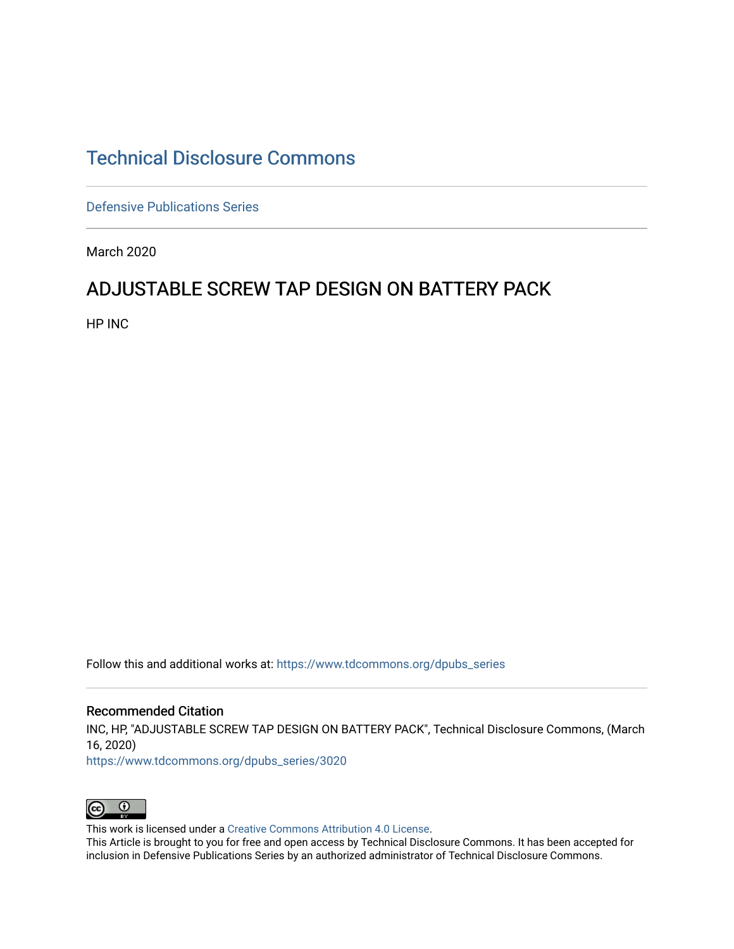# [Technical Disclosure Commons](https://www.tdcommons.org/)

[Defensive Publications Series](https://www.tdcommons.org/dpubs_series)

March 2020

## ADJUSTABLE SCREW TAP DESIGN ON BATTERY PACK

HP INC

Follow this and additional works at: [https://www.tdcommons.org/dpubs\\_series](https://www.tdcommons.org/dpubs_series?utm_source=www.tdcommons.org%2Fdpubs_series%2F3020&utm_medium=PDF&utm_campaign=PDFCoverPages) 

#### Recommended Citation

INC, HP, "ADJUSTABLE SCREW TAP DESIGN ON BATTERY PACK", Technical Disclosure Commons, (March 16, 2020)

[https://www.tdcommons.org/dpubs\\_series/3020](https://www.tdcommons.org/dpubs_series/3020?utm_source=www.tdcommons.org%2Fdpubs_series%2F3020&utm_medium=PDF&utm_campaign=PDFCoverPages)



This work is licensed under a [Creative Commons Attribution 4.0 License](http://creativecommons.org/licenses/by/4.0/deed.en_US).

This Article is brought to you for free and open access by Technical Disclosure Commons. It has been accepted for inclusion in Defensive Publications Series by an authorized administrator of Technical Disclosure Commons.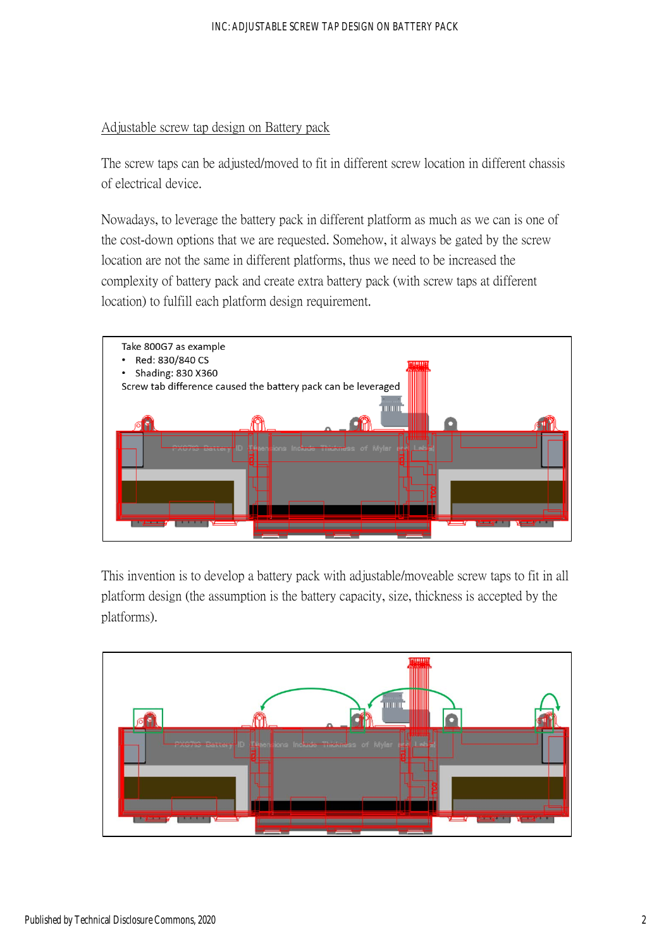### Adjustable screw tap design on Battery pack

The screw taps can be adjusted/moved to fit in different screw location in different chassis of electrical device.

Nowadays, to leverage the battery pack in different platform as much as we can is one of the cost-down options that we are requested. Somehow, it always be gated by the screw location are not the same in different platforms, thus we need to be increased the complexity of battery pack and create extra battery pack (with screw taps at different location) to fulfill each platform design requirement.



This invention is to develop a battery pack with adjustable/moveable screw taps to fit in all platform design (the assumption is the battery capacity, size, thickness is accepted by the platforms).